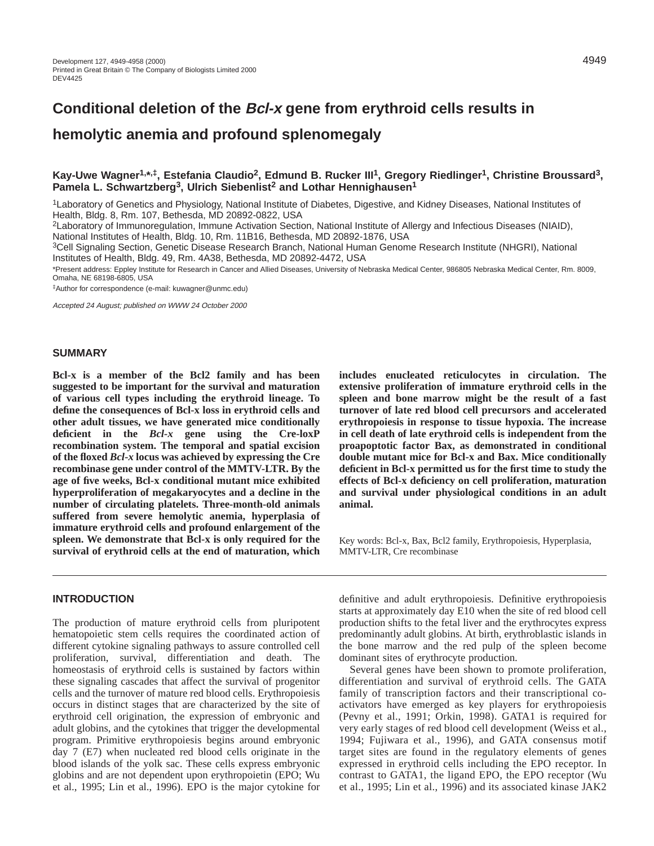# **Conditional deletion of the Bcl-x gene from erythroid cells results in**

## **hemolytic anemia and profound splenomegaly**

## Kay-Uwe Wagner<sup>1,\*,‡</sup>, Estefania Claudio<sup>2</sup>, Edmund B. Rucker III<sup>1</sup>, Gregory Riedlinger<sup>1</sup>, Christine Broussard<sup>3</sup>, Pamela L. Schwartzberg<sup>3</sup>, Ulrich Siebenlist<sup>2</sup> and Lothar Hennighausen<sup>1</sup>

1Laboratory of Genetics and Physiology, National Institute of Diabetes, Digestive, and Kidney Diseases, National Institutes of Health, Bldg. 8, Rm. 107, Bethesda, MD 20892-0822, USA

2Laboratory of Immunoregulation, Immune Activation Section, National Institute of Allergy and Infectious Diseases (NIAID), National Institutes of Health, Bldg. 10, Rm. 11B16, Bethesda, MD 20892-1876, USA

3Cell Signaling Section, Genetic Disease Research Branch, National Human Genome Research Institute (NHGRI), National Institutes of Health, Bldg. 49, Rm. 4A38, Bethesda, MD 20892-4472, USA

\*Present address: Eppley Institute for Research in Cancer and Allied Diseases, University of Nebraska Medical Center, 986805 Nebraska Medical Center, Rm. 8009, Omaha, NE 68198-6805, USA

‡Author for correspondence (e-mail: kuwagner@unmc.edu)

Accepted 24 August; published on WWW 24 October 2000

## **SUMMARY**

**Bcl-x is a member of the Bcl2 family and has been suggested to be important for the survival and maturation of various cell types including the erythroid lineage. To define the consequences of Bcl-x loss in erythroid cells and other adult tissues, we have generated mice conditionally deficient in the** *Bcl-x* **gene using the Cre-loxP recombination system. The temporal and spatial excision of the floxed** *Bcl-x* **locus was achieved by expressing the Cre recombinase gene under control of the MMTV-LTR. By the age of five weeks, Bcl-x conditional mutant mice exhibited hyperproliferation of megakaryocytes and a decline in the number of circulating platelets. Three-month-old animals suffered from severe hemolytic anemia, hyperplasia of immature erythroid cells and profound enlargement of the spleen. We demonstrate that Bcl-x is only required for the survival of erythroid cells at the end of maturation, which**

## **INTRODUCTION**

The production of mature erythroid cells from pluripotent hematopoietic stem cells requires the coordinated action of different cytokine signaling pathways to assure controlled cell proliferation, survival, differentiation and death. The homeostasis of erythroid cells is sustained by factors within these signaling cascades that affect the survival of progenitor cells and the turnover of mature red blood cells. Erythropoiesis occurs in distinct stages that are characterized by the site of erythroid cell origination, the expression of embryonic and adult globins, and the cytokines that trigger the developmental program. Primitive erythropoiesis begins around embryonic day 7 (E7) when nucleated red blood cells originate in the blood islands of the yolk sac. These cells express embryonic globins and are not dependent upon erythropoietin (EPO; Wu et al., 1995; Lin et al., 1996). EPO is the major cytokine for

**includes enucleated reticulocytes in circulation. The extensive proliferation of immature erythroid cells in the spleen and bone marrow might be the result of a fast turnover of late red blood cell precursors and accelerated erythropoiesis in response to tissue hypoxia. The increase in cell death of late erythroid cells is independent from the proapoptotic factor Bax, as demonstrated in conditional double mutant mice for Bcl-x and Bax. Mice conditionally deficient in Bcl-x permitted us for the first time to study the effects of Bcl-x deficiency on cell proliferation, maturation and survival under physiological conditions in an adult animal.**

Key words: Bcl-x, Bax, Bcl2 family, Erythropoiesis, Hyperplasia, MMTV-LTR, Cre recombinase

definitive and adult erythropoiesis. Definitive erythropoiesis starts at approximately day E10 when the site of red blood cell production shifts to the fetal liver and the erythrocytes express predominantly adult globins. At birth, erythroblastic islands in the bone marrow and the red pulp of the spleen become dominant sites of erythrocyte production.

Several genes have been shown to promote proliferation, differentiation and survival of erythroid cells. The GATA family of transcription factors and their transcriptional coactivators have emerged as key players for erythropoiesis (Pevny et al., 1991; Orkin, 1998). GATA1 is required for very early stages of red blood cell development (Weiss et al., 1994; Fujiwara et al., 1996), and GATA consensus motif target sites are found in the regulatory elements of genes expressed in erythroid cells including the EPO receptor. In contrast to GATA1, the ligand EPO, the EPO receptor (Wu et al., 1995; Lin et al., 1996) and its associated kinase JAK2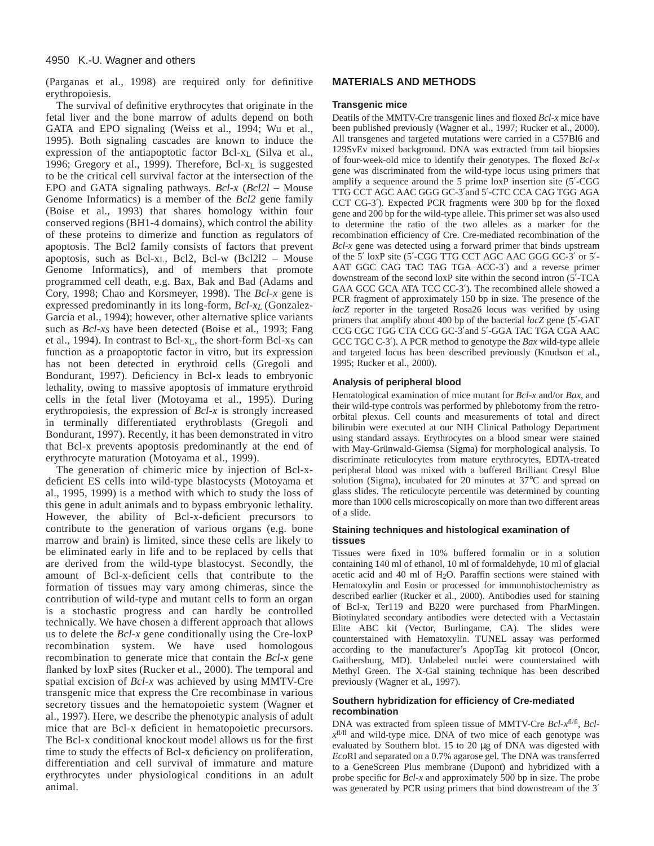(Parganas et al., 1998) are required only for definitive erythropoiesis.

The survival of definitive erythrocytes that originate in the fetal liver and the bone marrow of adults depend on both GATA and EPO signaling (Weiss et al., 1994; Wu et al., 1995). Both signaling cascades are known to induce the expression of the antiapoptotic factor Bcl-xL (Silva et al., 1996; Gregory et al., 1999). Therefore, Bcl-xL is suggested to be the critical cell survival factor at the intersection of the EPO and GATA signaling pathways. *Bcl-x* (*Bcl2l* – Mouse Genome Informatics) is a member of the *Bcl2* gene family (Boise et al., 1993) that shares homology within four conserved regions (BH1-4 domains), which control the ability of these proteins to dimerize and function as regulators of apoptosis. The Bcl2 family consists of factors that prevent apoptosis, such as Bcl- $x_L$ , Bcl2, Bcl-w (Bcl2l2 – Mouse Genome Informatics), and of members that promote programmed cell death, e.g. Bax, Bak and Bad (Adams and Cory, 1998; Chao and Korsmeyer, 1998). The *Bcl-x* gene is expressed predominantly in its long-form, *Bcl-xL* (Gonzalez-Garcia et al., 1994); however, other alternative splice variants such as *Bcl-xS* have been detected (Boise et al., 1993; Fang et al., 1994). In contrast to Bcl-x<sub>L</sub>, the short-form Bcl-x<sub>S</sub> can function as a proapoptotic factor in vitro, but its expression has not been detected in erythroid cells (Gregoli and Bondurant, 1997). Deficiency in Bcl-x leads to embryonic lethality, owing to massive apoptosis of immature erythroid cells in the fetal liver (Motoyama et al., 1995). During erythropoiesis, the expression of *Bcl-x* is strongly increased in terminally differentiated erythroblasts (Gregoli and Bondurant, 1997). Recently, it has been demonstrated in vitro that Bcl-x prevents apoptosis predominantly at the end of erythrocyte maturation (Motoyama et al., 1999).

The generation of chimeric mice by injection of Bcl-xdeficient ES cells into wild-type blastocysts (Motoyama et al., 1995, 1999) is a method with which to study the loss of this gene in adult animals and to bypass embryonic lethality. However, the ability of Bcl-x-deficient precursors to contribute to the generation of various organs (e.g. bone marrow and brain) is limited, since these cells are likely to be eliminated early in life and to be replaced by cells that are derived from the wild-type blastocyst. Secondly, the amount of Bcl-x-deficient cells that contribute to the formation of tissues may vary among chimeras, since the contribution of wild-type and mutant cells to form an organ is a stochastic progress and can hardly be controlled technically. We have chosen a different approach that allows us to delete the *Bcl-x* gene conditionally using the Cre-loxP recombination system. We have used homologous recombination to generate mice that contain the *Bcl-x* gene flanked by loxP sites (Rucker et al., 2000). The temporal and spatial excision of *Bcl-x* was achieved by using MMTV-Cre transgenic mice that express the Cre recombinase in various secretory tissues and the hematopoietic system (Wagner et al., 1997). Here, we describe the phenotypic analysis of adult mice that are Bcl-x deficient in hematopoietic precursors. The Bcl-x conditional knockout model allows us for the first time to study the effects of Bcl-x deficiency on proliferation, differentiation and cell survival of immature and mature erythrocytes under physiological conditions in an adult animal.

## **MATERIALS AND METHODS**

#### **Transgenic mice**

Deatils of the MMTV-Cre transgenic lines and floxed *Bcl-x* mice have been published previously (Wagner et al., 1997; Rucker et al., 2000). All transgenes and targeted mutations were carried in a C57Bl6 and 129SvEv mixed background. DNA was extracted from tail biopsies of four-week-old mice to identify their genotypes. The floxed *Bcl-x* gene was discriminated from the wild-type locus using primers that amplify a sequence around the 5 prime loxP insertion site (5′-CGG TTG CCT AGC AAC GGG GC-3′and 5′-CTC CCA CAG TGG AGA CCT CG-3′). Expected PCR fragments were 300 bp for the floxed gene and 200 bp for the wild-type allele. This primer set was also used to determine the ratio of the two alleles as a marker for the recombination efficiency of Cre. Cre-mediated recombination of the *Bcl-x* gene was detected using a forward primer that binds upstream of the 5′ loxP site (5′-CGG TTG CCT AGC AAC GGG GC-3′ or 5′- AAT GGC CAG TAC TAG TGA ACC-3′) and a reverse primer downstream of the second loxP site within the second intron (5′-TCA GAA GCC GCA ATA TCC CC-3′). The recombined allele showed a PCR fragment of approximately 150 bp in size. The presence of the *lacZ* reporter in the targeted Rosa26 locus was verified by using primers that amplify about 400 bp of the bacterial *lacZ* gene (5′-GAT CCG CGC TGG CTA CCG GC-3′and 5′-GGA TAC TGA CGA AAC GCC TGC C-3′). A PCR method to genotype the *Bax* wild-type allele and targeted locus has been described previously (Knudson et al., 1995; Rucker et al., 2000).

#### **Analysis of peripheral blood**

Hematological examination of mice mutant for *Bcl-x* and/or *Bax*, and their wild-type controls was performed by phlebotomy from the retroorbital plexus. Cell counts and measurements of total and direct bilirubin were executed at our NIH Clinical Pathology Department using standard assays. Erythrocytes on a blood smear were stained with May-Grünwald-Giemsa (Sigma) for morphological analysis. To discriminate reticulocytes from mature erythrocytes, EDTA-treated peripheral blood was mixed with a buffered Brilliant Cresyl Blue solution (Sigma), incubated for 20 minutes at 37°C and spread on glass slides. The reticulocyte percentile was determined by counting more than 1000 cells microscopically on more than two different areas of a slide.

#### **Staining techniques and histological examination of tissues**

Tissues were fixed in 10% buffered formalin or in a solution containing 140 ml of ethanol, 10 ml of formaldehyde, 10 ml of glacial acetic acid and 40 ml of H2O. Paraffin sections were stained with Hematoxylin and Eosin or processed for immunohistochemistry as described earlier (Rucker et al., 2000). Antibodies used for staining of Bcl-x, Ter119 and B220 were purchased from PharMingen. Biotinylated secondary antibodies were detected with a Vectastain Elite ABC kit (Vector, Burlingame, CA). The slides were counterstained with Hematoxylin. TUNEL assay was performed according to the manufacturer's ApopTag kit protocol (Oncor, Gaithersburg, MD). Unlabeled nuclei were counterstained with Methyl Green. The X-Gal staining technique has been described previously (Wagner et al., 1997).

#### **Southern hybridization for efficiency of Cre-mediated recombination**

DNA was extracted from spleen tissue of MMTV-Cre *Bcl-x*fl/fl, *Bclx*fl/fl and wild-type mice. DNA of two mice of each genotype was evaluated by Southern blot. 15 to 20 µg of DNA was digested with *Eco*RI and separated on a 0.7% agarose gel. The DNA was transferred to a GeneScreen Plus membrane (Dupont) and hybridized with a probe specific for *Bcl-x* and approximately 500 bp in size. The probe was generated by PCR using primers that bind downstream of the 3'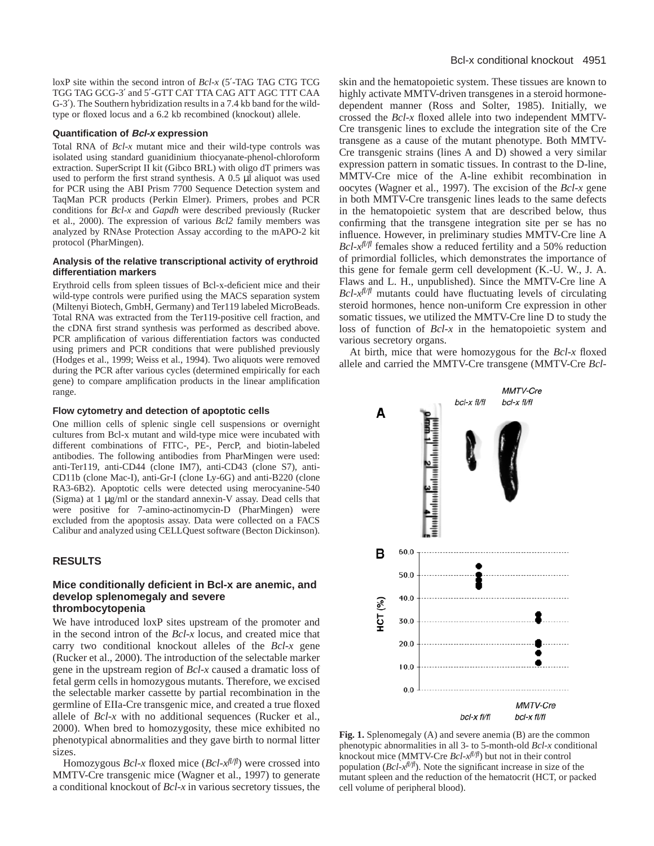loxP site within the second intron of *Bcl-x* (5′-TAG TAG CTG TCG TGG TAG GCG-3′ and 5′-GTT CAT TTA CAG ATT AGC TTT CAA G-3′). The Southern hybridization results in a 7.4 kb band for the wildtype or floxed locus and a 6.2 kb recombined (knockout) allele.

#### **Quantification of Bcl-x expression**

Total RNA of *Bcl-x* mutant mice and their wild-type controls was isolated using standard guanidinium thiocyanate-phenol-chloroform extraction. SuperScript II kit (Gibco BRL) with oligo dT primers was used to perform the first strand synthesis. A 0.5 µl aliquot was used for PCR using the ABI Prism 7700 Sequence Detection system and TaqMan PCR products (Perkin Elmer). Primers, probes and PCR conditions for *Bcl-x* and *Gapdh* were described previously (Rucker et al., 2000). The expression of various *Bcl2* family members was analyzed by RNAse Protection Assay according to the mAPO-2 kit protocol (PharMingen).

#### **Analysis of the relative transcriptional activity of erythroid differentiation markers**

Erythroid cells from spleen tissues of Bcl-x-deficient mice and their wild-type controls were purified using the MACS separation system (Miltenyi Biotech, GmbH, Germany) and Ter119 labeled MicroBeads. Total RNA was extracted from the Ter119-positive cell fraction, and the cDNA first strand synthesis was performed as described above. PCR amplification of various differentiation factors was conducted using primers and PCR conditions that were published previously (Hodges et al., 1999; Weiss et al., 1994). Two aliquots were removed during the PCR after various cycles (determined empirically for each gene) to compare amplification products in the linear amplification range.

#### **Flow cytometry and detection of apoptotic cells**

One million cells of splenic single cell suspensions or overnight cultures from Bcl-x mutant and wild-type mice were incubated with different combinations of FITC-, PE-, PercP, and biotin-labeled antibodies. The following antibodies from PharMingen were used: anti-Ter119, anti-CD44 (clone IM7), anti-CD43 (clone S7), anti-CD11b (clone Mac-I), anti-Gr-I (clone Ly-6G) and anti-B220 (clone RA3-6B2). Apoptotic cells were detected using merocyanine-540 (Sigma) at 1 µg/ml or the standard annexin-V assay. Dead cells that were positive for 7-amino-actinomycin-D (PharMingen) were excluded from the apoptosis assay. Data were collected on a FACS Calibur and analyzed using CELLQuest software (Becton Dickinson).

#### **RESULTS**

#### **Mice conditionally deficient in Bcl-x are anemic, and develop splenomegaly and severe thrombocytopenia**

We have introduced loxP sites upstream of the promoter and in the second intron of the *Bcl-x* locus, and created mice that carry two conditional knockout alleles of the *Bcl-x* gene (Rucker et al., 2000). The introduction of the selectable marker gene in the upstream region of *Bcl-x* caused a dramatic loss of fetal germ cells in homozygous mutants. Therefore, we excised the selectable marker cassette by partial recombination in the germline of EIIa-Cre transgenic mice, and created a true floxed allele of *Bcl-x* with no additional sequences (Rucker et al., 2000). When bred to homozygosity, these mice exhibited no phenotypical abnormalities and they gave birth to normal litter sizes.

Homozygous  $Bcl-x$  floxed mice  $(Bcl-x^{f/\sqrt{f}})$  were crossed into MMTV-Cre transgenic mice (Wagner et al., 1997) to generate a conditional knockout of *Bcl-x* in various secretory tissues, the

skin and the hematopoietic system. These tissues are known to highly activate MMTV-driven transgenes in a steroid hormonedependent manner (Ross and Solter, 1985). Initially, we crossed the *Bcl-x* floxed allele into two independent MMTV-Cre transgenic lines to exclude the integration site of the Cre transgene as a cause of the mutant phenotype. Both MMTV-Cre transgenic strains (lines A and D) showed a very similar expression pattern in somatic tissues. In contrast to the D-line, MMTV-Cre mice of the A-line exhibit recombination in oocytes (Wagner et al., 1997). The excision of the *Bcl-x* gene in both MMTV-Cre transgenic lines leads to the same defects in the hematopoietic system that are described below, thus confirming that the transgene integration site per se has no influence. However, in preliminary studies MMTV-Cre line A  $Bcl-x^{fl/f}$  females show a reduced fertility and a 50% reduction of primordial follicles, which demonstrates the importance of this gene for female germ cell development (K.-U. W., J. A. Flaws and L. H., unpublished). Since the MMTV-Cre line A  $Bcl$ - $x<sup>f</sup>/f<sup>f</sup>$  mutants could have fluctuating levels of circulating steroid hormones, hence non-uniform Cre expression in other somatic tissues, we utilized the MMTV-Cre line D to study the loss of function of *Bcl-x* in the hematopoietic system and various secretory organs.

At birth, mice that were homozygous for the *Bcl-x* floxed allele and carried the MMTV-Cre transgene (MMTV-Cre *Bcl-*



**Fig. 1.** Splenomegaly (A) and severe anemia (B) are the common phenotypic abnormalities in all 3- to 5-month-old *Bcl-x* conditional knockout mice (MMTV-Cre *Bcl-xfl/fl*) but not in their control population  $(Bcl-x^{f l/f l})$ . Note the significant increase in size of the mutant spleen and the reduction of the hematocrit (HCT, or packed cell volume of peripheral blood).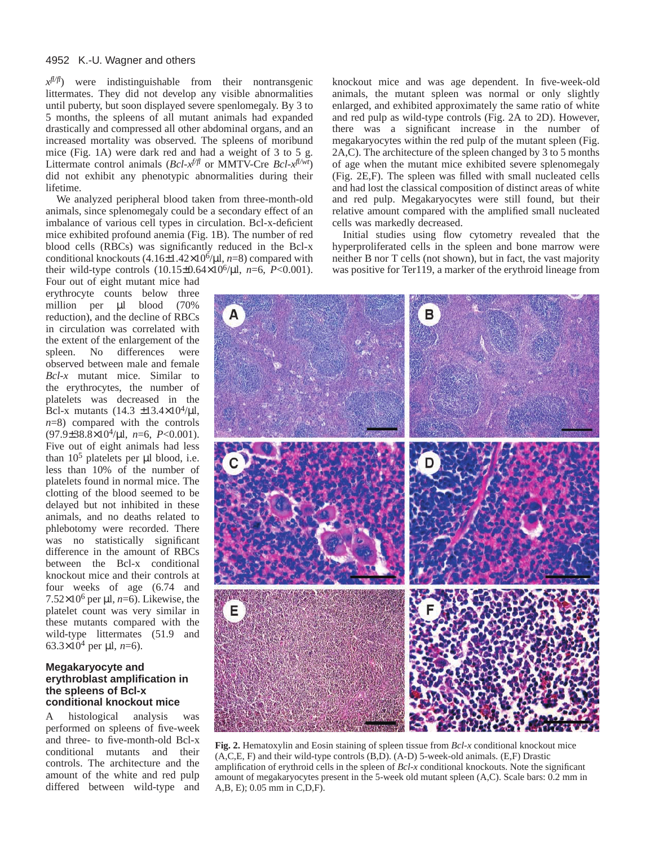#### 4952 K.-U. Wagner and others

*xfl/fl*) were indistinguishable from their nontransgenic littermates. They did not develop any visible abnormalities until puberty, but soon displayed severe spenlomegaly. By 3 to 5 months, the spleens of all mutant animals had expanded drastically and compressed all other abdominal organs, and an increased mortality was observed. The spleens of moribund mice (Fig. 1A) were dark red and had a weight of 3 to 5 g. Littermate control animals (*Bcl-xf/fl* or MMTV-Cre *Bcl-xfl/wt*) did not exhibit any phenotypic abnormalities during their lifetime.

We analyzed peripheral blood taken from three-month-old animals, since splenomegaly could be a secondary effect of an imbalance of various cell types in circulation. Bcl-x-deficient mice exhibited profound anemia (Fig. 1B). The number of red blood cells (RBCs) was significantly reduced in the Bcl-x conditional knockouts (4.16±1.42×106/µl, *n*=8) compared with their wild-type controls  $(10.15\pm0.64\times10^6/\mu l, n=6, P<0.001)$ .

Four out of eight mutant mice had erythrocyte counts below three million per µl blood (70% reduction), and the decline of RBCs in circulation was correlated with the extent of the enlargement of the spleen. No differences were observed between male and female *Bcl-x* mutant mice. Similar to the erythrocytes, the number of platelets was decreased in the Bcl-x mutants  $(14.3 \pm 13.4 \times 10^4/\mu l,$ *n*=8) compared with the controls (97.9±38.8×104/µl, *n*=6, *P*<0.001). Five out of eight animals had less than  $10^5$  platelets per  $\mu$ l blood, i.e. less than 10% of the number of platelets found in normal mice. The clotting of the blood seemed to be delayed but not inhibited in these animals, and no deaths related to phlebotomy were recorded. There was no statistically significant difference in the amount of RBCs between the Bcl-x conditional knockout mice and their controls at four weeks of age (6.74 and 7.52×10<sup>6</sup> per  $\mu$ l, *n*=6). Likewise, the platelet count was very similar in these mutants compared with the wild-type littermates (51.9 and 63.3×10<sup>4</sup> per  $\mu$ l, *n*=6).

#### **Megakaryocyte and erythroblast amplification in the spleens of Bcl-x conditional knockout mice**

A histological analysis was performed on spleens of five-week and three- to five-month-old Bcl-x conditional mutants and their controls. The architecture and the amount of the white and red pulp differed between wild-type and

knockout mice and was age dependent. In five-week-old animals, the mutant spleen was normal or only slightly enlarged, and exhibited approximately the same ratio of white and red pulp as wild-type controls (Fig. 2A to 2D). However, there was a significant increase in the number of megakaryocytes within the red pulp of the mutant spleen (Fig. 2A,C). The architecture of the spleen changed by 3 to 5 months of age when the mutant mice exhibited severe splenomegaly (Fig. 2E,F). The spleen was filled with small nucleated cells and had lost the classical composition of distinct areas of white and red pulp. Megakaryocytes were still found, but their relative amount compared with the amplified small nucleated cells was markedly decreased.

Initial studies using flow cytometry revealed that the hyperproliferated cells in the spleen and bone marrow were neither B nor T cells (not shown), but in fact, the vast majority was positive for Ter119, a marker of the erythroid lineage from



**Fig. 2.** Hematoxylin and Eosin staining of spleen tissue from *Bcl-x* conditional knockout mice (A,C,E, F) and their wild-type controls (B,D). (A-D) 5-week-old animals. (E,F) Drastic amplification of erythroid cells in the spleen of *Bcl-x* conditional knockouts. Note the significant amount of megakaryocytes present in the 5-week old mutant spleen (A,C). Scale bars: 0.2 mm in A,B, E); 0.05 mm in C,D,F).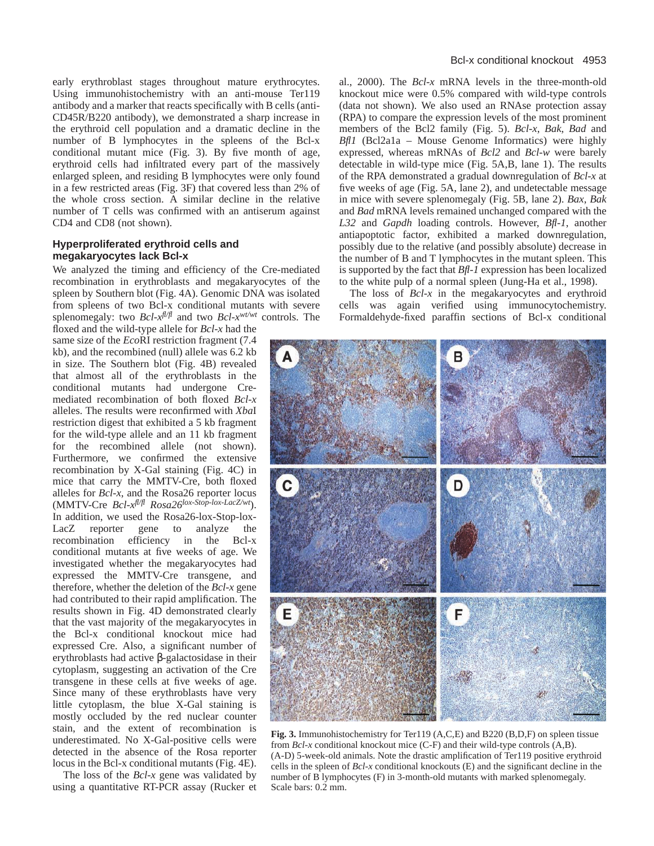early erythroblast stages throughout mature erythrocytes. Using immunohistochemistry with an anti-mouse Ter119 antibody and a marker that reacts specifically with B cells (anti-CD45R/B220 antibody), we demonstrated a sharp increase in the erythroid cell population and a dramatic decline in the number of B lymphocytes in the spleens of the Bcl-x conditional mutant mice (Fig. 3). By five month of age, erythroid cells had infiltrated every part of the massively enlarged spleen, and residing B lymphocytes were only found in a few restricted areas (Fig. 3F) that covered less than 2% of the whole cross section. A similar decline in the relative number of T cells was confirmed with an antiserum against CD4 and CD8 (not shown).

## **Hyperproliferated erythroid cells and megakaryocytes lack Bcl-x**

We analyzed the timing and efficiency of the Cre-mediated recombination in erythroblasts and megakaryocytes of the spleen by Southern blot (Fig. 4A). Genomic DNA was isolated from spleens of two Bcl-x conditional mutants with severe splenomegaly: two *Bcl-xfl/fl* and two *Bcl-xwt/wt* controls. The

floxed and the wild-type allele for *Bcl-x* had the same size of the *Eco*RI restriction fragment (7.4 kb), and the recombined (null) allele was 6.2 kb in size. The Southern blot (Fig. 4B) revealed that almost all of the erythroblasts in the conditional mutants had undergone Cremediated recombination of both floxed *Bcl-x* alleles. The results were reconfirmed with *Xba*I restriction digest that exhibited a 5 kb fragment for the wild-type allele and an 11 kb fragment for the recombined allele (not shown). Furthermore, we confirmed the extensive recombination by X-Gal staining (Fig. 4C) in mice that carry the MMTV-Cre, both floxed alleles for *Bcl-x*, and the Rosa26 reporter locus (MMTV-Cre *Bcl-xfl/fl Rosa26lox-Stop-lox-LacZ/wt*). In addition, we used the Rosa26-lox-Stop-lox-LacZ reporter gene to analyze the recombination efficiency in the Bcl-x conditional mutants at five weeks of age. We investigated whether the megakaryocytes had expressed the MMTV-Cre transgene, and therefore, whether the deletion of the *Bcl-x* gene had contributed to their rapid amplification. The results shown in Fig. 4D demonstrated clearly that the vast majority of the megakaryocytes in the Bcl-x conditional knockout mice had expressed Cre. Also, a significant number of erythroblasts had active β-galactosidase in their cytoplasm, suggesting an activation of the Cre transgene in these cells at five weeks of age. Since many of these erythroblasts have very little cytoplasm, the blue X-Gal staining is mostly occluded by the red nuclear counter stain, and the extent of recombination is underestimated. No X-Gal-positive cells were detected in the absence of the Rosa reporter locus in the Bcl-x conditional mutants (Fig. 4E).

The loss of the *Bcl-x* gene was validated by using a quantitative RT-PCR assay (Rucker et al., 2000). The *Bcl-x* mRNA levels in the three-month-old knockout mice were 0.5% compared with wild-type controls (data not shown). We also used an RNAse protection assay (RPA) to compare the expression levels of the most prominent members of the Bcl2 family (Fig. 5). *Bcl-x*, *Bak*, *Bad* and *Bfl1* (Bcl2a1a – Mouse Genome Informatics) were highly expressed, whereas mRNAs of *Bcl2* and *Bcl-w* were barely detectable in wild-type mice (Fig. 5A,B, lane 1). The results of the RPA demonstrated a gradual downregulation of *Bcl-x* at five weeks of age (Fig. 5A, lane 2), and undetectable message in mice with severe splenomegaly (Fig. 5B, lane 2). *Bax*, *Bak* and *Bad* mRNA levels remained unchanged compared with the *L32* and *Gapdh* loading controls. However, *Bfl-1*, another antiapoptotic factor, exhibited a marked downregulation, possibly due to the relative (and possibly absolute) decrease in the number of B and T lymphocytes in the mutant spleen. This is supported by the fact that *Bfl-1* expression has been localized to the white pulp of a normal spleen (Jung-Ha et al., 1998).

The loss of *Bcl-x* in the megakaryocytes and erythroid cells was again verified using immunocytochemistry. Formaldehyde-fixed paraffin sections of Bcl-x conditional



**Fig. 3.** Immunohistochemistry for Ter119 (A,C,E) and B220 (B,D,F) on spleen tissue from *Bcl-x* conditional knockout mice (C-F) and their wild-type controls (A,B). (A-D) 5-week-old animals. Note the drastic amplification of Ter119 positive erythroid cells in the spleen of *Bcl-x* conditional knockouts (E) and the significant decline in the number of B lymphocytes (F) in 3-month-old mutants with marked splenomegaly. Scale bars: 0.2 mm.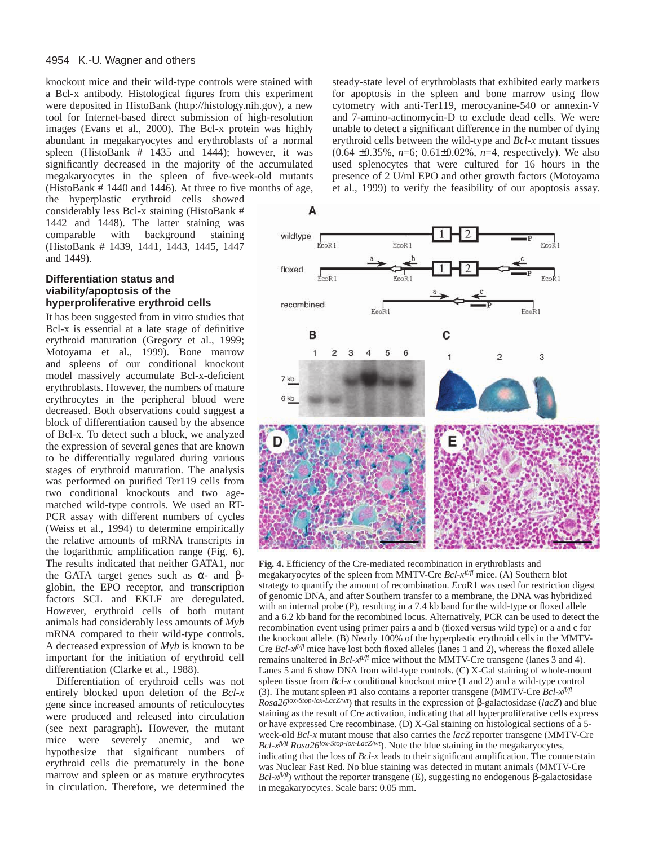knockout mice and their wild-type controls were stained with a Bcl-x antibody. Histological figures from this experiment were deposited in HistoBank [\(http://histology.nih.gov\),](http://histology.nih.gov) a new tool for Internet-based direct submission of high-resolution images (Evans et al., 2000). The Bcl-x protein was highly abundant in megakaryocytes and erythroblasts of a normal spleen (HistoBank # 1435 and 1444); however, it was significantly decreased in the majority of the accumulated megakaryocytes in the spleen of five-week-old mutants (HistoBank # 1440 and 1446). At three to five months of age,

the hyperplastic erythroid cells showed considerably less Bcl-x staining (HistoBank # 1442 and 1448). The latter staining was comparable with background staining (HistoBank # 1439, 1441, 1443, 1445, 1447 and 1449).

## **Differentiation status and viability/apoptosis of the hyperproliferative erythroid cells**

It has been suggested from in vitro studies that Bcl-x is essential at a late stage of definitive erythroid maturation (Gregory et al., 1999; Motoyama et al., 1999). Bone marrow and spleens of our conditional knockout model massively accumulate Bcl-x-deficient erythroblasts. However, the numbers of mature erythrocytes in the peripheral blood were decreased. Both observations could suggest a block of differentiation caused by the absence of Bcl-x. To detect such a block, we analyzed the expression of several genes that are known to be differentially regulated during various stages of erythroid maturation. The analysis was performed on purified Ter119 cells from two conditional knockouts and two agematched wild-type controls. We used an RT-PCR assay with different numbers of cycles (Weiss et al., 1994) to determine empirically the relative amounts of mRNA transcripts in the logarithmic amplification range (Fig. 6). The results indicated that neither GATA1, nor the GATA target genes such as  $α$ - and  $β$ globin, the EPO receptor, and transcription factors SCL and EKLF are deregulated. However, erythroid cells of both mutant animals had considerably less amounts of *Myb* mRNA compared to their wild-type controls. A decreased expression of *Myb* is known to be important for the initiation of erythroid cell differentiation (Clarke et al., 1988).

Differentiation of erythroid cells was not entirely blocked upon deletion of the *Bcl-x* gene since increased amounts of reticulocytes were produced and released into circulation (see next paragraph). However, the mutant mice were severely anemic, and we hypothesize that significant numbers of erythroid cells die prematurely in the bone marrow and spleen or as mature erythrocytes in circulation. Therefore, we determined the

steady-state level of erythroblasts that exhibited early markers for apoptosis in the spleen and bone marrow using flow cytometry with anti-Ter119, merocyanine-540 or annexin-V and 7-amino-actinomycin-D to exclude dead cells. We were unable to detect a significant difference in the number of dying erythroid cells between the wild-type and *Bcl-x* mutant tissues (0.64 ±0.35%, *n*=6; 0.61±0.02%, *n*=4, respectively). We also used splenocytes that were cultured for 16 hours in the presence of 2 U/ml EPO and other growth factors (Motoyama et al., 1999) to verify the feasibility of our apoptosis assay.



**Fig. 4.** Efficiency of the Cre-mediated recombination in erythroblasts and megakaryocytes of the spleen from MMTV-Cre *Bcl-xfl/fl* mice. (A) Southern blot strategy to quantify the amount of recombination. *Eco*R1 was used for restriction digest of genomic DNA, and after Southern transfer to a membrane, the DNA was hybridized with an internal probe (P), resulting in a 7.4 kb band for the wild-type or floxed allele and a 6.2 kb band for the recombined locus. Alternatively, PCR can be used to detect the recombination event using primer pairs a and b (floxed versus wild type) or a and c for the knockout allele. (B) Nearly 100% of the hyperplastic erythroid cells in the MMTV-Cre *Bcl-xfl/fl* mice have lost both floxed alleles (lanes 1 and 2), whereas the floxed allele remains unaltered in  $Bcl$ - $x^{\beta/\beta}$  mice without the MMTV-Cre transgene (lanes 3 and 4). Lanes 5 and 6 show DNA from wild-type controls. (C) X-Gal staining of whole-mount spleen tissue from *Bcl-x* conditional knockout mice (1 and 2) and a wild-type control (3). The mutant spleen #1 also contains a reporter transgene (MMTV-Cre  $Bcl$ - $x^{\beta/\beta}$ *Rosa26lox-Stop-lox-LacZ/wt*) that results in the expression of β-galactosidase (*lacZ*) and blue staining as the result of Cre activation, indicating that all hyperproliferative cells express or have expressed Cre recombinase. (D) X-Gal staining on histological sections of a 5 week-old *Bcl-x* mutant mouse that also carries the *lacZ* reporter transgene (MMTV-Cre *Bcl-xfl/fl Rosa26lox-Stop-lox-LacZ/wt*). Note the blue staining in the megakaryocytes, indicating that the loss of *Bcl-x* leads to their significant amplification. The counterstain was Nuclear Fast Red. No blue staining was detected in mutant animals (MMTV-Cre *Bcl-x<sup>fl/ff</sup>*) without the reporter transgene (E), suggesting no endogenous β-galactosidase in megakaryocytes. Scale bars: 0.05 mm.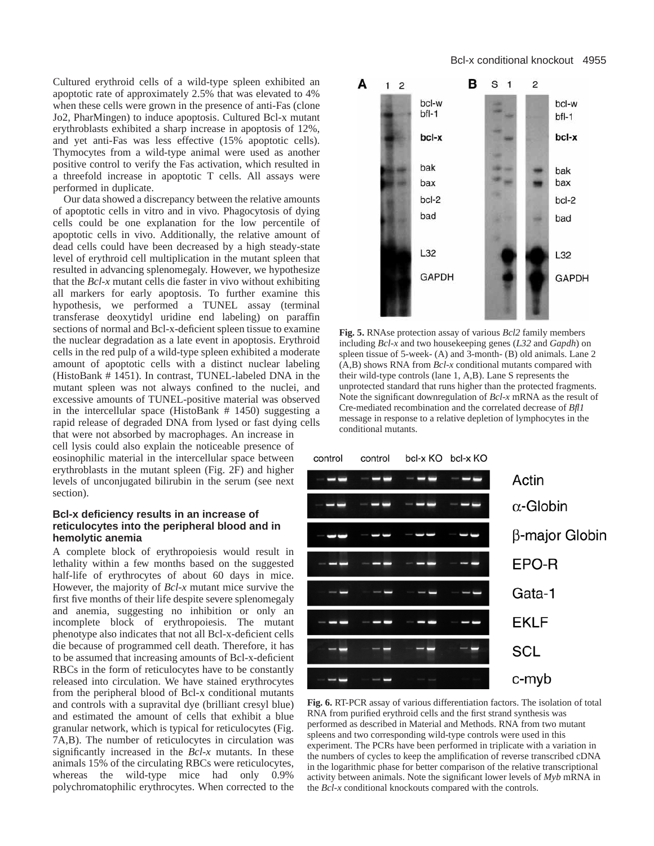Cultured erythroid cells of a wild-type spleen exhibited an apoptotic rate of approximately 2.5% that was elevated to 4% when these cells were grown in the presence of anti-Fas (clone Jo2, PharMingen) to induce apoptosis. Cultured Bcl-x mutant erythroblasts exhibited a sharp increase in apoptosis of 12%, and yet anti-Fas was less effective (15% apoptotic cells). Thymocytes from a wild-type animal were used as another positive control to verify the Fas activation, which resulted in a threefold increase in apoptotic T cells. All assays were performed in duplicate.

Our data showed a discrepancy between the relative amounts of apoptotic cells in vitro and in vivo. Phagocytosis of dying cells could be one explanation for the low percentile of apoptotic cells in vivo. Additionally, the relative amount of dead cells could have been decreased by a high steady-state level of erythroid cell multiplication in the mutant spleen that resulted in advancing splenomegaly. However, we hypothesize that the *Bcl-x* mutant cells die faster in vivo without exhibiting all markers for early apoptosis. To further examine this hypothesis, we performed a TUNEL assay (terminal transferase deoxytidyl uridine end labeling) on paraffin sections of normal and Bcl-x-deficient spleen tissue to examine the nuclear degradation as a late event in apoptosis. Erythroid cells in the red pulp of a wild-type spleen exhibited a moderate amount of apoptotic cells with a distinct nuclear labeling (HistoBank # 1451). In contrast, TUNEL-labeled DNA in the mutant spleen was not always confined to the nuclei, and excessive amounts of TUNEL-positive material was observed in the intercellular space (HistoBank # 1450) suggesting a rapid release of degraded DNA from lysed or fast dying cells that were not absorbed by macrophages. An increase in cell lysis could also explain the noticeable presence of eosinophilic material in the intercellular space between erythroblasts in the mutant spleen (Fig. 2F) and higher levels of unconjugated bilirubin in the serum (see next section).

## **Bcl-x deficiency results in an increase of reticulocytes into the peripheral blood and in hemolytic anemia**

A complete block of erythropoiesis would result in lethality within a few months based on the suggested half-life of erythrocytes of about 60 days in mice. However, the majority of *Bcl-x* mutant mice survive the first five months of their life despite severe splenomegaly and anemia, suggesting no inhibition or only an incomplete block of erythropoiesis. The mutant phenotype also indicates that not all Bcl-x-deficient cells die because of programmed cell death. Therefore, it has to be assumed that increasing amounts of Bcl-x-deficient RBCs in the form of reticulocytes have to be constantly released into circulation. We have stained erythrocytes from the peripheral blood of Bcl-x conditional mutants and controls with a supravital dye (brilliant cresyl blue) and estimated the amount of cells that exhibit a blue granular network, which is typical for reticulocytes (Fig. 7A,B). The number of reticulocytes in circulation was significantly increased in the *Bcl-x* mutants. In these animals 15% of the circulating RBCs were reticulocytes, whereas the wild-type mice had only 0.9% polychromatophilic erythrocytes. When corrected to the



**Fig. 5.** RNAse protection assay of various *Bcl2* family members including *Bcl-x* and two housekeeping genes (*L32* and *Gapdh*) on spleen tissue of 5-week- (A) and 3-month- (B) old animals. Lane 2 (A,B) shows RNA from *Bcl-x* conditional mutants compared with their wild-type controls (lane 1, A,B). Lane S represents the unprotected standard that runs higher than the protected fragments. Note the significant downregulation of *Bcl-x* mRNA as the result of Cre-mediated recombination and the correlated decrease of *Bfl1* message in response to a relative depletion of lymphocytes in the conditional mutants.



**Fig. 6.** RT-PCR assay of various differentiation factors. The isolation of total RNA from purified erythroid cells and the first strand synthesis was performed as described in Material and Methods. RNA from two mutant spleens and two corresponding wild-type controls were used in this experiment. The PCRs have been performed in triplicate with a variation in the numbers of cycles to keep the amplification of reverse transcribed cDNA in the logarithmic phase for better comparison of the relative transcriptional activity between animals. Note the significant lower levels of *Myb* mRNA in the *Bcl-x* conditional knockouts compared with the controls.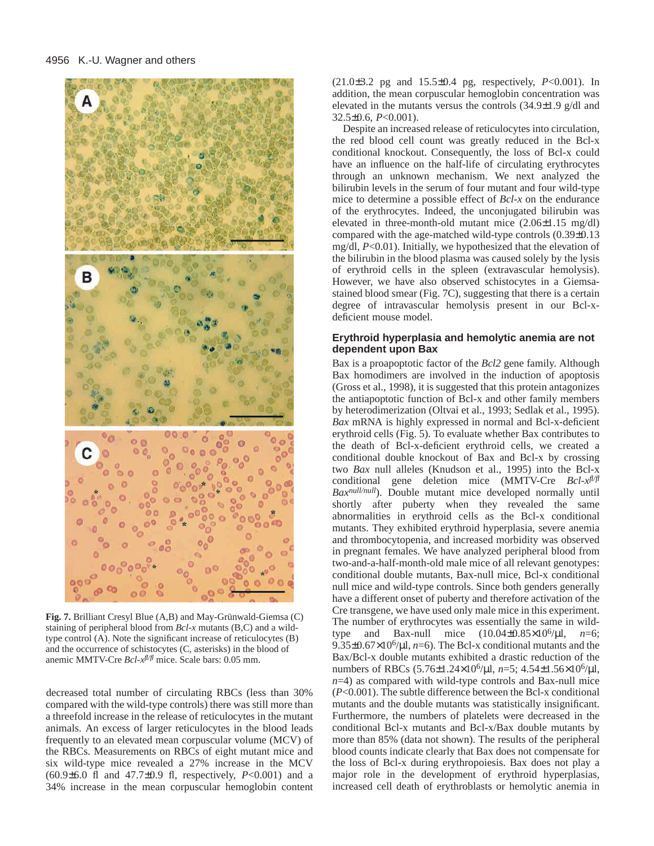

**Fig. 7.** Brilliant Cresyl Blue (A,B) and May-Grünwald-Giemsa (C) staining of peripheral blood from *Bcl-x* mutants (B,C) and a wildtype control (A). Note the significant increase of reticulocytes (B) and the occurrence of schistocytes (C, asterisks) in the blood of anemic MMTV-Cre *Bcl-xfl/fl* mice. Scale bars: 0.05 mm.

decreased total number of circulating RBCs (less than 30% compared with the wild-type controls) there was still more than a threefold increase in the release of reticulocytes in the mutant animals. An excess of larger reticulocytes in the blood leads frequently to an elevated mean corpuscular volume (MCV) of the RBCs. Measurements on RBCs of eight mutant mice and six wild-type mice revealed a 27% increase in the MCV (60.9±6.0 fl and 47.7±0.9 fl, respectively, *P*<0.001) and a 34% increase in the mean corpuscular hemoglobin content

(21.0±3.2 pg and 15.5±0.4 pg, respectively, *P*<0.001). In addition, the mean corpuscular hemoglobin concentration was elevated in the mutants versus the controls (34.9±1.9 g/dl and 32.5±0.6, *P*<0.001).

Despite an increased release of reticulocytes into circulation, the red blood cell count was greatly reduced in the Bcl-x conditional knockout. Consequently, the loss of Bcl-x could have an influence on the half-life of circulating erythrocytes through an unknown mechanism. We next analyzed the bilirubin levels in the serum of four mutant and four wild-type mice to determine a possible effect of *Bcl-x* on the endurance of the erythrocytes. Indeed, the unconjugated bilirubin was elevated in three-month-old mutant mice (2.06±1.15 mg/dl) compared with the age-matched wild-type controls (0.39±0.13 mg/dl, *P*<0.01). Initially, we hypothesized that the elevation of the bilirubin in the blood plasma was caused solely by the lysis of erythroid cells in the spleen (extravascular hemolysis). However, we have also observed schistocytes in a Giemsastained blood smear (Fig. 7C), suggesting that there is a certain degree of intravascular hemolysis present in our Bcl-xdeficient mouse model.

## **Erythroid hyperplasia and hemolytic anemia are not dependent upon Bax**

Bax is a proapoptotic factor of the *Bcl2* gene family. Although Bax homodimers are involved in the induction of apoptosis (Gross et al., 1998), it is suggested that this protein antagonizes the antiapoptotic function of Bcl-x and other family members by heterodimerization (Oltvai et al., 1993; Sedlak et al., 1995). *Bax* mRNA is highly expressed in normal and Bcl-x-deficient erythroid cells (Fig. 5). To evaluate whether Bax contributes to the death of Bcl-x-deficient erythroid cells, we created a conditional double knockout of Bax and Bcl-x by crossing two *Bax* null alleles (Knudson et al., 1995) into the Bcl-x conditional gene deletion mice (MMTV-Cre *Bcl-xfl/fl Baxnull/null*). Double mutant mice developed normally until shortly after puberty when they revealed the same abnormalities in erythroid cells as the Bcl-x conditional mutants. They exhibited erythroid hyperplasia, severe anemia and thrombocytopenia, and increased morbidity was observed in pregnant females. We have analyzed peripheral blood from two-and-a-half-month-old male mice of all relevant genotypes: conditional double mutants, Bax-null mice, Bcl-x conditional null mice and wild-type controls. Since both genders generally have a different onset of puberty and therefore activation of the Cre transgene, we have used only male mice in this experiment. The number of erythrocytes was essentially the same in wildtype and Bax-null mice  $(10.04 \pm 0.85 \times 10^{6}/\mu l, n=6;$ 9.35 $\pm$ 0.67 $\times$ 10<sup>6</sup>/ $\mu$ l, *n*=6). The Bcl-x conditional mutants and the Bax/Bcl-x double mutants exhibited a drastic reduction of the numbers of RBCs (5.76±1.24×106/µl, *n*=5; 4.54±1.56×106/µl, *n*=4) as compared with wild-type controls and Bax-null mice (*P*<0.001). The subtle difference between the Bcl-x conditional mutants and the double mutants was statistically insignificant. Furthermore, the numbers of platelets were decreased in the conditional Bcl-x mutants and Bcl-x/Bax double mutants by more than 85% (data not shown). The results of the peripheral blood counts indicate clearly that Bax does not compensate for the loss of Bcl-x during erythropoiesis. Bax does not play a major role in the development of erythroid hyperplasias, increased cell death of erythroblasts or hemolytic anemia in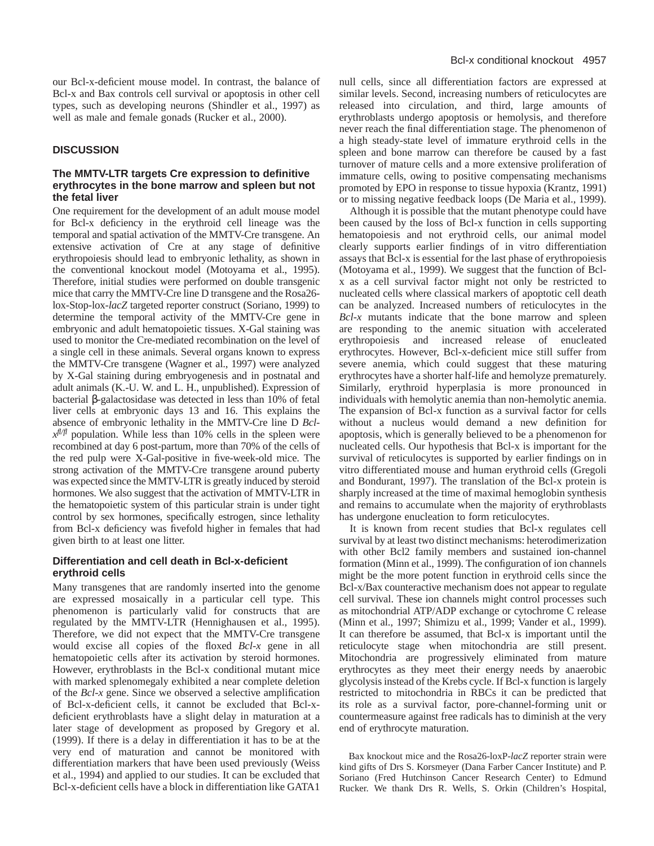our Bcl-x-deficient mouse model. In contrast, the balance of Bcl-x and Bax controls cell survival or apoptosis in other cell types, such as developing neurons (Shindler et al., 1997) as well as male and female gonads (Rucker et al., 2000).

#### **DISCUSSION**

## **The MMTV-LTR targets Cre expression to definitive erythrocytes in the bone marrow and spleen but not the fetal liver**

One requirement for the development of an adult mouse model for Bcl-x deficiency in the erythroid cell lineage was the temporal and spatial activation of the MMTV-Cre transgene. An extensive activation of Cre at any stage of definitive erythropoiesis should lead to embryonic lethality, as shown in the conventional knockout model (Motoyama et al., 1995). Therefore, initial studies were performed on double transgenic mice that carry the MMTV-Cre line D transgene and the Rosa26 lox-Stop-lox-*lacZ* targeted reporter construct (Soriano, 1999) to determine the temporal activity of the MMTV-Cre gene in embryonic and adult hematopoietic tissues. X-Gal staining was used to monitor the Cre-mediated recombination on the level of a single cell in these animals. Several organs known to express the MMTV-Cre transgene (Wagner et al., 1997) were analyzed by X-Gal staining during embryogenesis and in postnatal and adult animals (K.-U. W. and L. H., unpublished). Expression of bacterial β-galactosidase was detected in less than 10% of fetal liver cells at embryonic days 13 and 16. This explains the absence of embryonic lethality in the MMTV-Cre line D *Bcl* $x^{f l/f}$  population. While less than 10% cells in the spleen were recombined at day 6 post-partum, more than 70% of the cells of the red pulp were X-Gal-positive in five-week-old mice. The strong activation of the MMTV-Cre transgene around puberty was expected since the MMTV-LTR is greatly induced by steroid hormones. We also suggest that the activation of MMTV-LTR in the hematopoietic system of this particular strain is under tight control by sex hormones, specifically estrogen, since lethality from Bcl-x deficiency was fivefold higher in females that had given birth to at least one litter.

## **Differentiation and cell death in Bcl-x-deficient erythroid cells**

Many transgenes that are randomly inserted into the genome are expressed mosaically in a particular cell type. This phenomenon is particularly valid for constructs that are regulated by the MMTV-LTR (Hennighausen et al., 1995). Therefore, we did not expect that the MMTV-Cre transgene would excise all copies of the floxed *Bcl-x* gene in all hematopoietic cells after its activation by steroid hormones. However, erythroblasts in the Bcl-x conditional mutant mice with marked splenomegaly exhibited a near complete deletion of the *Bcl-x* gene. Since we observed a selective amplification of Bcl-x-deficient cells, it cannot be excluded that Bcl-xdeficient erythroblasts have a slight delay in maturation at a later stage of development as proposed by Gregory et al. (1999). If there is a delay in differentiation it has to be at the very end of maturation and cannot be monitored with differentiation markers that have been used previously (Weiss et al., 1994) and applied to our studies. It can be excluded that Bcl-x-deficient cells have a block in differentiation like GATA1

null cells, since all differentiation factors are expressed at similar levels. Second, increasing numbers of reticulocytes are released into circulation, and third, large amounts of erythroblasts undergo apoptosis or hemolysis, and therefore never reach the final differentiation stage. The phenomenon of a high steady-state level of immature erythroid cells in the spleen and bone marrow can therefore be caused by a fast turnover of mature cells and a more extensive proliferation of immature cells, owing to positive compensating mechanisms promoted by EPO in response to tissue hypoxia (Krantz, 1991) or to missing negative feedback loops (De Maria et al., 1999).

Although it is possible that the mutant phenotype could have been caused by the loss of Bcl-x function in cells supporting hematopoiesis and not erythroid cells, our animal model clearly supports earlier findings of in vitro differentiation assays that Bcl-x is essential for the last phase of erythropoiesis (Motoyama et al., 1999). We suggest that the function of Bclx as a cell survival factor might not only be restricted to nucleated cells where classical markers of apoptotic cell death can be analyzed. Increased numbers of reticulocytes in the *Bcl-x* mutants indicate that the bone marrow and spleen are responding to the anemic situation with accelerated erythropoiesis and increased release of enucleated erythrocytes. However, Bcl-x-deficient mice still suffer from severe anemia, which could suggest that these maturing erythrocytes have a shorter half-life and hemolyze prematurely. Similarly, erythroid hyperplasia is more pronounced in individuals with hemolytic anemia than non-hemolytic anemia. The expansion of Bcl-x function as a survival factor for cells without a nucleus would demand a new definition for apoptosis, which is generally believed to be a phenomenon for nucleated cells. Our hypothesis that Bcl-x is important for the survival of reticulocytes is supported by earlier findings on in vitro differentiated mouse and human erythroid cells (Gregoli and Bondurant, 1997). The translation of the Bcl-x protein is sharply increased at the time of maximal hemoglobin synthesis and remains to accumulate when the majority of erythroblasts has undergone enucleation to form reticulocytes.

It is known from recent studies that Bcl-x regulates cell survival by at least two distinct mechanisms: heterodimerization with other Bcl2 family members and sustained ion-channel formation (Minn et al., 1999). The configuration of ion channels might be the more potent function in erythroid cells since the Bcl-x/Bax counteractive mechanism does not appear to regulate cell survival. These ion channels might control processes such as mitochondrial ATP/ADP exchange or cytochrome C release (Minn et al., 1997; Shimizu et al., 1999; Vander et al., 1999). It can therefore be assumed, that Bcl-x is important until the reticulocyte stage when mitochondria are still present. Mitochondria are progressively eliminated from mature erythrocytes as they meet their energy needs by anaerobic glycolysis instead of the Krebs cycle. If Bcl-x function is largely restricted to mitochondria in RBCs it can be predicted that its role as a survival factor, pore-channel-forming unit or countermeasure against free radicals has to diminish at the very end of erythrocyte maturation.

Bax knockout mice and the Rosa26-loxP-*lacZ* reporter strain were kind gifts of Drs S. Korsmeyer (Dana Farber Cancer Institute) and P. Soriano (Fred Hutchinson Cancer Research Center) to Edmund Rucker. We thank Drs R. Wells, S. Orkin (Children's Hospital,